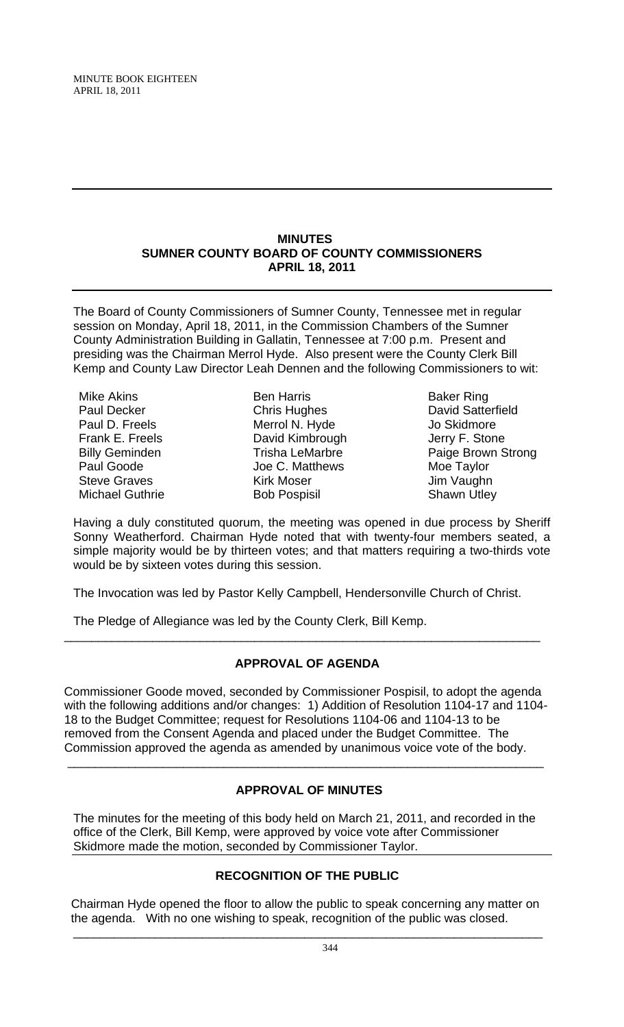MINUTE BOOK EIGHTEEN APRIL 18, 2011

#### **MINUTES SUMNER COUNTY BOARD OF COUNTY COMMISSIONERS APRIL 18, 2011**

The Board of County Commissioners of Sumner County, Tennessee met in regular session on Monday, April 18, 2011, in the Commission Chambers of the Sumner County Administration Building in Gallatin, Tennessee at 7:00 p.m. Present and presiding was the Chairman Merrol Hyde. Also present were the County Clerk Bill Kemp and County Law Director Leah Dennen and the following Commissioners to wit:

Mike Akins Paul Decker Paul D. Freels Frank E. Freels Billy Geminden Paul Goode Steve Graves Michael Guthrie

Ben Harris Chris Hughes Merrol N. Hyde David Kimbrough Trisha LeMarbre Joe C. Matthews Kirk Moser Bob Pospisil

Baker Ring David Satterfield Jo Skidmore Jerry F. Stone Paige Brown Strong Moe Taylor Jim Vaughn Shawn Utley

Having a duly constituted quorum, the meeting was opened in due process by Sheriff Sonny Weatherford. Chairman Hyde noted that with twenty-four members seated, a simple majority would be by thirteen votes; and that matters requiring a two-thirds vote would be by sixteen votes during this session.

The Invocation was led by Pastor Kelly Campbell, Hendersonville Church of Christ.

The Pledge of Allegiance was led by the County Clerk, Bill Kemp.

## **APPROVAL OF AGENDA**

\_\_\_\_\_\_\_\_\_\_\_\_\_\_\_\_\_\_\_\_\_\_\_\_\_\_\_\_\_\_\_\_\_\_\_\_\_\_\_\_\_\_\_\_\_\_\_\_\_\_\_\_\_\_\_\_\_\_\_\_\_\_\_\_\_\_\_\_\_\_

Commissioner Goode moved, seconded by Commissioner Pospisil, to adopt the agenda with the following additions and/or changes: 1) Addition of Resolution 1104-17 and 1104- 18 to the Budget Committee; request for Resolutions 1104-06 and 1104-13 to be removed from the Consent Agenda and placed under the Budget Committee. The Commission approved the agenda as amended by unanimous voice vote of the body.

# **APPROVAL OF MINUTES**

\_\_\_\_\_\_\_\_\_\_\_\_\_\_\_\_\_\_\_\_\_\_\_\_\_\_\_\_\_\_\_\_\_\_\_\_\_\_\_\_\_\_\_\_\_\_\_\_\_\_\_\_\_\_\_\_\_\_\_\_\_\_\_\_\_\_\_\_\_\_

The minutes for the meeting of this body held on March 21, 2011, and recorded in the office of the Clerk, Bill Kemp, were approved by voice vote after Commissioner Skidmore made the motion, seconded by Commissioner Taylor.

# **RECOGNITION OF THE PUBLIC**

 Chairman Hyde opened the floor to allow the public to speak concerning any matter on the agenda. With no one wishing to speak, recognition of the public was closed.

\_\_\_\_\_\_\_\_\_\_\_\_\_\_\_\_\_\_\_\_\_\_\_\_\_\_\_\_\_\_\_\_\_\_\_\_\_\_\_\_\_\_\_\_\_\_\_\_\_\_\_\_\_\_\_\_\_\_\_\_\_\_\_\_\_\_\_\_\_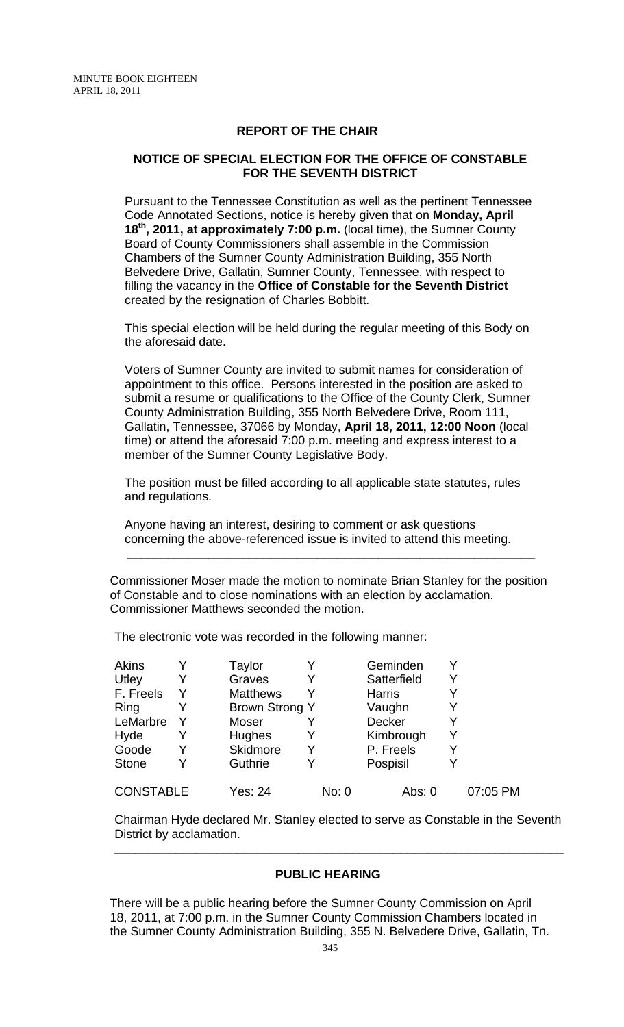### **REPORT OF THE CHAIR**

## **NOTICE OF SPECIAL ELECTION FOR THE OFFICE OF CONSTABLE FOR THE SEVENTH DISTRICT**

Pursuant to the Tennessee Constitution as well as the pertinent Tennessee Code Annotated Sections, notice is hereby given that on **Monday, April 18th, 2011, at approximately 7:00 p.m.** (local time), the Sumner County Board of County Commissioners shall assemble in the Commission Chambers of the Sumner County Administration Building, 355 North Belvedere Drive, Gallatin, Sumner County, Tennessee, with respect to filling the vacancy in the **Office of Constable for the Seventh District** created by the resignation of Charles Bobbitt.

This special election will be held during the regular meeting of this Body on the aforesaid date.

Voters of Sumner County are invited to submit names for consideration of appointment to this office. Persons interested in the position are asked to submit a resume or qualifications to the Office of the County Clerk, Sumner County Administration Building, 355 North Belvedere Drive, Room 111, Gallatin, Tennessee, 37066 by Monday, **April 18, 2011, 12:00 Noon** (local time) or attend the aforesaid 7:00 p.m. meeting and express interest to a member of the Sumner County Legislative Body.

The position must be filled according to all applicable state statutes, rules and regulations.

Anyone having an interest, desiring to comment or ask questions concerning the above-referenced issue is invited to attend this meeting.

 $\frac{1}{\sqrt{2}}$  ,  $\frac{1}{\sqrt{2}}$  ,  $\frac{1}{\sqrt{2}}$  ,  $\frac{1}{\sqrt{2}}$  ,  $\frac{1}{\sqrt{2}}$  ,  $\frac{1}{\sqrt{2}}$  ,  $\frac{1}{\sqrt{2}}$  ,  $\frac{1}{\sqrt{2}}$  ,  $\frac{1}{\sqrt{2}}$  ,  $\frac{1}{\sqrt{2}}$  ,  $\frac{1}{\sqrt{2}}$  ,  $\frac{1}{\sqrt{2}}$  ,  $\frac{1}{\sqrt{2}}$  ,  $\frac{1}{\sqrt{2}}$  ,  $\frac{1}{\sqrt{2}}$ 

Commissioner Moser made the motion to nominate Brian Stanley for the position of Constable and to close nominations with an election by acclamation. Commissioner Matthews seconded the motion.

The electronic vote was recorded in the following manner:

| Akins            |   | Taylor                |       | Geminden      | Y        |
|------------------|---|-----------------------|-------|---------------|----------|
| Utley            | Y | Graves                | Y     | Satterfield   | Y        |
| F. Freels        | Y | <b>Matthews</b>       | Y     | <b>Harris</b> | Y        |
| Ring             |   | <b>Brown Strong Y</b> |       | Vaughn        | Y        |
| LeMarbre         |   | Moser                 |       | Decker        | Y        |
| Hyde             | Y | Hughes                | Y     | Kimbrough     | Y        |
| Goode            | Y | Skidmore              | Y     | P. Freels     | Y        |
| <b>Stone</b>     |   | Guthrie               | Y     | Pospisil      | Y        |
| <b>CONSTABLE</b> |   | <b>Yes: 24</b>        | No: 0 | Abs: 0        | 07:05 PM |

Chairman Hyde declared Mr. Stanley elected to serve as Constable in the Seventh District by acclamation.

\_\_\_\_\_\_\_\_\_\_\_\_\_\_\_\_\_\_\_\_\_\_\_\_\_\_\_\_\_\_\_\_\_\_\_\_\_\_\_\_\_\_\_\_\_\_\_\_\_\_\_\_\_\_\_\_\_\_\_\_\_\_\_\_\_\_

## **PUBLIC HEARING**

There will be a public hearing before the Sumner County Commission on April 18, 2011, at 7:00 p.m. in the Sumner County Commission Chambers located in the Sumner County Administration Building, 355 N. Belvedere Drive, Gallatin, Tn.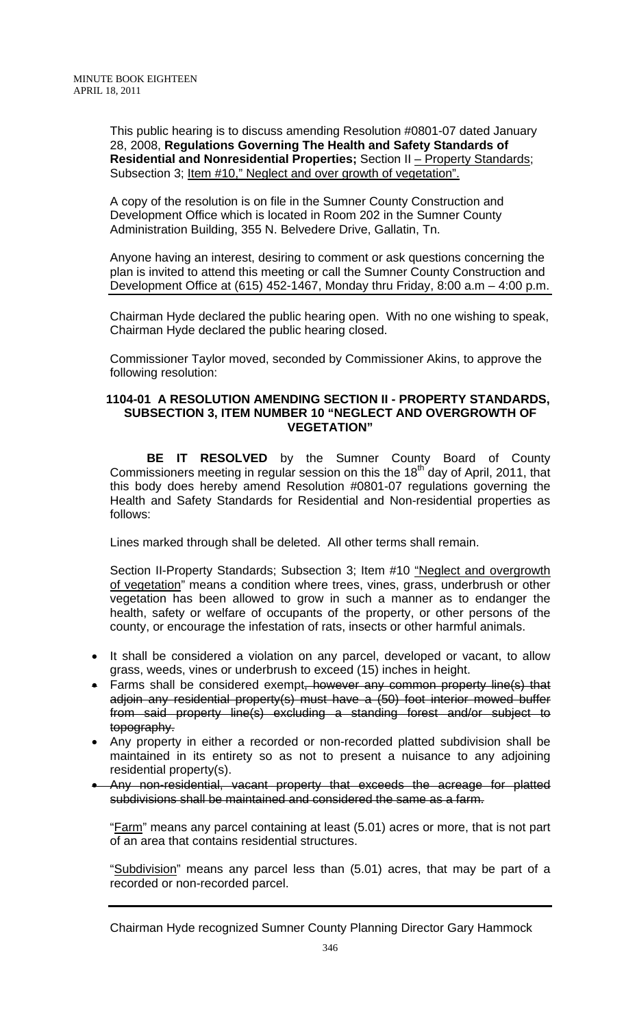This public hearing is to discuss amending Resolution #0801-07 dated January 28, 2008, **Regulations Governing The Health and Safety Standards of Residential and Nonresidential Properties;** Section II – Property Standards; Subsection 3; Item #10," Neglect and over growth of vegetation".

A copy of the resolution is on file in the Sumner County Construction and Development Office which is located in Room 202 in the Sumner County Administration Building, 355 N. Belvedere Drive, Gallatin, Tn.

Anyone having an interest, desiring to comment or ask questions concerning the plan is invited to attend this meeting or call the Sumner County Construction and Development Office at (615) 452-1467, Monday thru Friday, 8:00 a.m – 4:00 p.m.

Chairman Hyde declared the public hearing open. With no one wishing to speak, Chairman Hyde declared the public hearing closed.

Commissioner Taylor moved, seconded by Commissioner Akins, to approve the following resolution:

## **1104-01 A RESOLUTION AMENDING SECTION II - PROPERTY STANDARDS, SUBSECTION 3, ITEM NUMBER 10 "NEGLECT AND OVERGROWTH OF VEGETATION"**

**BE IT RESOLVED** by the Sumner County Board of County Commissioners meeting in regular session on this the 18<sup>th</sup> day of April, 2011, that this body does hereby amend Resolution #0801-07 regulations governing the Health and Safety Standards for Residential and Non-residential properties as follows:

Lines marked through shall be deleted. All other terms shall remain.

Section II-Property Standards; Subsection 3; Item #10 "Neglect and overgrowth of vegetation" means a condition where trees, vines, grass, underbrush or other vegetation has been allowed to grow in such a manner as to endanger the health, safety or welfare of occupants of the property, or other persons of the county, or encourage the infestation of rats, insects or other harmful animals.

- It shall be considered a violation on any parcel, developed or vacant, to allow grass, weeds, vines or underbrush to exceed (15) inches in height.
- Farms shall be considered exempt, however any common property line(s) that adjoin any residential property(s) must have a (50) foot interior mowed buffer from said property line(s) excluding a standing forest and/or subject to topography.
- Any property in either a recorded or non-recorded platted subdivision shall be maintained in its entirety so as not to present a nuisance to any adjoining residential property(s).
- Any non-residential, vacant property that exceeds the acreage for platted subdivisions shall be maintained and considered the same as a farm.

"Farm" means any parcel containing at least (5.01) acres or more, that is not part of an area that contains residential structures.

"Subdivision" means any parcel less than (5.01) acres, that may be part of a recorded or non-recorded parcel.

Chairman Hyde recognized Sumner County Planning Director Gary Hammock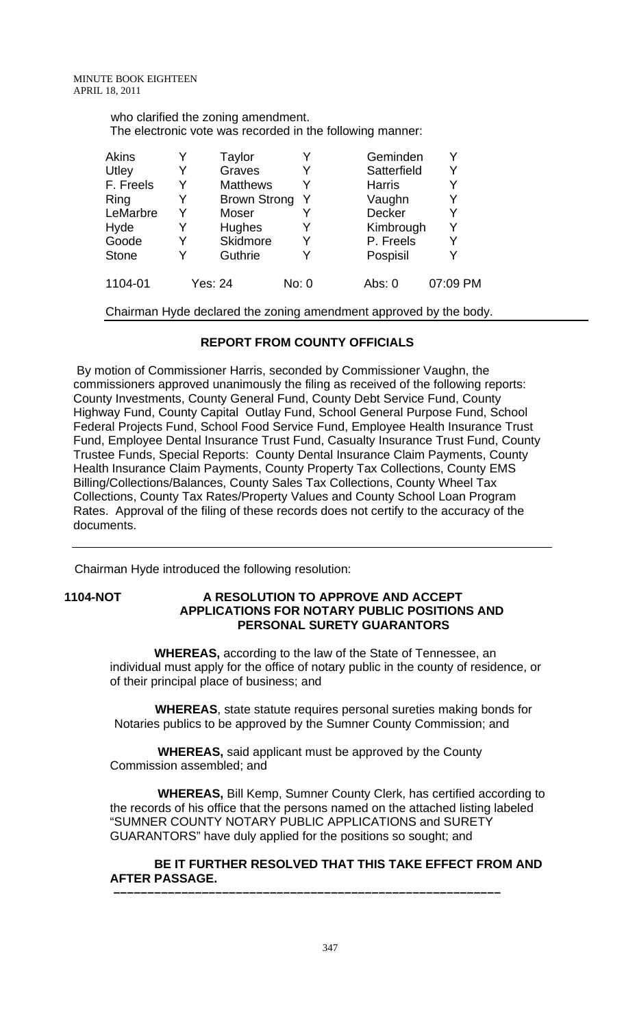| who clarified the zoning amendment.                       |  |
|-----------------------------------------------------------|--|
| The electronic vote was recorded in the following manner: |  |

| Akins        |   | Taylor              |       | Geminden      |          |
|--------------|---|---------------------|-------|---------------|----------|
| Utley        |   | Graves              |       | Satterfield   | Y        |
| F. Freels    | Y | <b>Matthews</b>     |       | <b>Harris</b> |          |
| Ring         |   | <b>Brown Strong</b> |       | Vaughn        | Y        |
| LeMarbre     |   | Moser               |       | Decker        | Y        |
| Hyde         |   | Hughes              |       | Kimbrough     | Υ        |
| Goode        |   | Skidmore            |       | P. Freels     | Y        |
| <b>Stone</b> |   | Guthrie             |       | Pospisil      | Y        |
| 1104-01      |   | Yes: 24             | No: 0 | Abs: $0$      | 07:09 PM |

Chairman Hyde declared the zoning amendment approved by the body.

## **REPORT FROM COUNTY OFFICIALS**

 By motion of Commissioner Harris, seconded by Commissioner Vaughn, the commissioners approved unanimously the filing as received of the following reports: County Investments, County General Fund, County Debt Service Fund, County Highway Fund, County Capital Outlay Fund, School General Purpose Fund, School Federal Projects Fund, School Food Service Fund, Employee Health Insurance Trust Fund, Employee Dental Insurance Trust Fund, Casualty Insurance Trust Fund, County Trustee Funds, Special Reports: County Dental Insurance Claim Payments, County Health Insurance Claim Payments, County Property Tax Collections, County EMS Billing/Collections/Balances, County Sales Tax Collections, County Wheel Tax Collections, County Tax Rates/Property Values and County School Loan Program Rates. Approval of the filing of these records does not certify to the accuracy of the documents.

Chairman Hyde introduced the following resolution:

## **1104-NOT A RESOLUTION TO APPROVE AND ACCEPT APPLICATIONS FOR NOTARY PUBLIC POSITIONS AND PERSONAL SURETY GUARANTORS**

 **WHEREAS,** according to the law of the State of Tennessee, an individual must apply for the office of notary public in the county of residence, or of their principal place of business; and

 **WHEREAS**, state statute requires personal sureties making bonds for Notaries publics to be approved by the Sumner County Commission; and

 **WHEREAS,** said applicant must be approved by the County Commission assembled; and

 **–––––––––––––––––––––––––––––––––––––––––––––––––––––––––**

 **WHEREAS,** Bill Kemp, Sumner County Clerk, has certified according to the records of his office that the persons named on the attached listing labeled "SUMNER COUNTY NOTARY PUBLIC APPLICATIONS and SURETY GUARANTORS" have duly applied for the positions so sought; and

 **BE IT FURTHER RESOLVED THAT THIS TAKE EFFECT FROM AND AFTER PASSAGE.**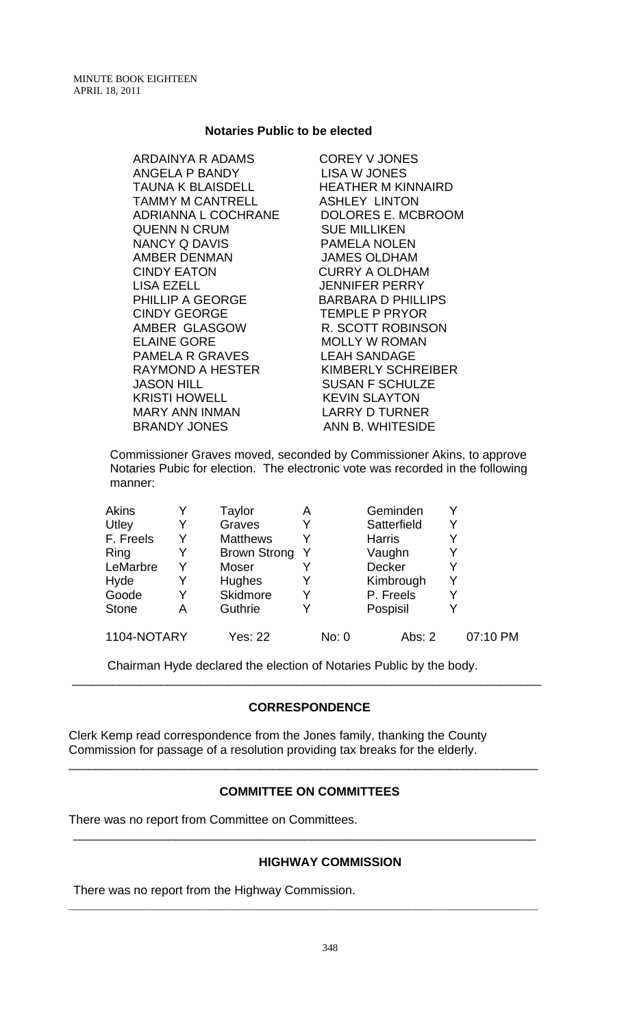#### **Notaries Public to be elected**

ARDAINYA R ADAMS COREY V JONES ANGELA P BANDY LISA W JONES TAUNA K BLAISDELL HEATHER M KINNAIRD TAMMY M CANTRELL ASHLEY LINTON ADRIANNA L COCHRANE DOLORES E. MCBROOM QUENN N CRUM SUE MILLIKEN NANCY Q DAVIS PAMELA NOLEN AMBER DENMAN JAMES OLDHAM CINDY EATON CURRY A OLDHAM LISA EZELL JENNIFER PERRY PHILLIP A GEORGE BARBARA D PHILLIPS CINDY GEORGE TEMPLE P PRYOR AMBER GLASGOW R. SCOTT ROBINSON ELAINE GORE MOLLY W ROMAN PAMELA R GRAVES LEAH SANDAGE RAYMOND A HESTER KIMBERLY SCHREIBER JASON HILL SUSAN F SCHULZE KRISTI HOWELL KEVIN SLAYTON MARY ANN INMAN LARRY D TURNER BRANDY JONES ANN B. WHITESIDE

Commissioner Graves moved, seconded by Commissioner Akins, to approve Notaries Pubic for election. The electronic vote was recorded in the following manner:

| <b>Akins</b> |   | Taylor              | Α |       | Geminden      |   |          |
|--------------|---|---------------------|---|-------|---------------|---|----------|
| Utley        |   | Graves              | Y |       | Satterfield   | Y |          |
| F. Freels    |   | <b>Matthews</b>     |   |       | <b>Harris</b> |   |          |
| Ring         |   | <b>Brown Strong</b> | Y |       | Vaughn        |   |          |
| LeMarbre     | Y | Moser               |   |       | Decker        | Y |          |
| Hyde         |   | Hughes              | Y |       | Kimbrough     | Y |          |
| Goode        |   | Skidmore            | Y |       | P. Freels     | Υ |          |
| <b>Stone</b> | Α | Guthrie             | Y |       | Pospisil      |   |          |
| 1104-NOTARY  |   | <b>Yes: 22</b>      |   | No: 0 | Abs: $2$      |   | 07:10 PM |

Chairman Hyde declared the election of Notaries Public by the body.

## **CORRESPONDENCE**

\_\_\_\_\_\_\_\_\_\_\_\_\_\_\_\_\_\_\_\_\_\_\_\_\_\_\_\_\_\_\_\_\_\_\_\_\_\_\_\_\_\_\_\_\_\_\_\_\_\_\_\_\_\_\_\_\_\_\_\_\_\_\_\_\_\_\_\_\_

Clerk Kemp read correspondence from the Jones family, thanking the County Commission for passage of a resolution providing tax breaks for the elderly.

## **COMMITTEE ON COMMITTEES**

\_\_\_\_\_\_\_\_\_\_\_\_\_\_\_\_\_\_\_\_\_\_\_\_\_\_\_\_\_\_\_\_\_\_\_\_\_\_\_\_\_\_\_\_\_\_\_\_\_\_\_\_\_\_\_\_\_\_\_\_\_\_\_\_\_\_\_\_

**\_\_\_\_\_\_\_\_\_\_\_\_\_\_\_\_\_\_\_\_\_\_\_\_\_\_\_\_\_\_\_\_\_\_\_\_\_\_\_\_\_\_\_\_\_\_\_\_\_\_\_\_\_\_\_\_\_\_\_\_\_\_\_\_\_\_\_\_\_** 

\_\_\_\_\_\_\_\_\_\_\_\_\_\_\_\_\_\_\_\_\_\_\_\_\_\_\_\_\_\_\_\_\_\_\_\_\_\_\_\_\_\_\_\_\_\_\_\_\_\_\_\_\_\_\_\_\_\_\_\_\_\_\_\_\_\_\_\_\_

There was no report from Committee on Committees.

## **HIGHWAY COMMISSION**

There was no report from the Highway Commission.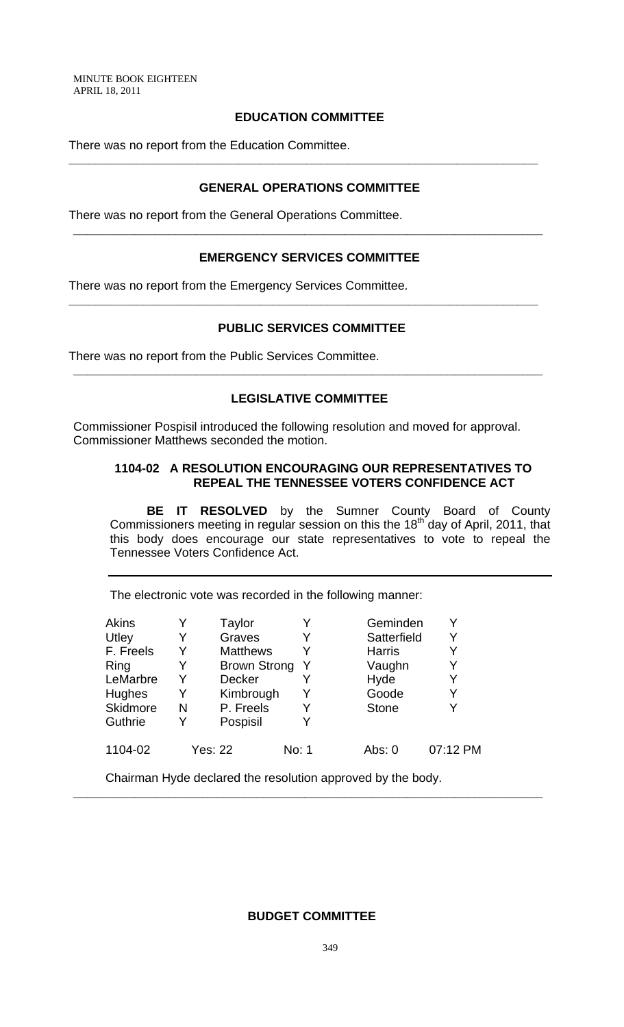MINUTE BOOK EIGHTEEN APRIL 18, 2011

## **EDUCATION COMMITTEE**

There was no report from the Education Committee.

## **GENERAL OPERATIONS COMMITTEE**

**\_\_\_\_\_\_\_\_\_\_\_\_\_\_\_\_\_\_\_\_\_\_\_\_\_\_\_\_\_\_\_\_\_\_\_\_\_\_\_\_\_\_\_\_\_\_\_\_\_\_\_\_\_\_\_\_\_\_\_\_\_\_\_\_\_\_\_\_\_** 

There was no report from the General Operations Committee.

## **EMERGENCY SERVICES COMMITTEE**

**\_\_\_\_\_\_\_\_\_\_\_\_\_\_\_\_\_\_\_\_\_\_\_\_\_\_\_\_\_\_\_\_\_\_\_\_\_\_\_\_\_\_\_\_\_\_\_\_\_\_\_\_\_\_\_\_\_\_\_\_\_\_\_\_\_\_\_\_\_** 

**\_\_\_\_\_\_\_\_\_\_\_\_\_\_\_\_\_\_\_\_\_\_\_\_\_\_\_\_\_\_\_\_\_\_\_\_\_\_\_\_\_\_\_\_\_\_\_\_\_\_\_\_\_\_\_\_\_\_\_\_\_\_\_\_\_\_\_\_\_** 

There was no report from the Emergency Services Committee.

## **PUBLIC SERVICES COMMITTEE**

There was no report from the Public Services Committee.

## **LEGISLATIVE COMMITTEE**

**\_\_\_\_\_\_\_\_\_\_\_\_\_\_\_\_\_\_\_\_\_\_\_\_\_\_\_\_\_\_\_\_\_\_\_\_\_\_\_\_\_\_\_\_\_\_\_\_\_\_\_\_\_\_\_\_\_\_\_\_\_\_\_\_\_\_\_\_\_** 

Commissioner Pospisil introduced the following resolution and moved for approval. Commissioner Matthews seconded the motion.

## **1104-02 A RESOLUTION ENCOURAGING OUR REPRESENTATIVES TO REPEAL THE TENNESSEE VOTERS CONFIDENCE ACT**

**BE IT RESOLVED** by the Sumner County Board of County Commissioners meeting in regular session on this the 18<sup>th</sup> day of April, 2011, that this body does encourage our state representatives to vote to repeal the Tennessee Voters Confidence Act.

The electronic vote was recorded in the following manner:

| <b>Akins</b>    |   | Taylor              |       | Geminden      |          |
|-----------------|---|---------------------|-------|---------------|----------|
| Utley           |   | Graves              |       | Satterfield   | Y        |
| F. Freels       |   | <b>Matthews</b>     |       | <b>Harris</b> |          |
| Ring            |   | <b>Brown Strong</b> | Y     | Vaughn        | Y        |
| LeMarbre        | Y | Decker              |       | Hyde          | Y        |
| <b>Hughes</b>   | Y | Kimbrough           |       | Goode         | Y        |
| <b>Skidmore</b> | N | P. Freels           |       | <b>Stone</b>  |          |
| Guthrie         |   | Pospisil            |       |               |          |
| 1104-02         |   | <b>Yes: 22</b>      | No: 1 | Abs: 0        | 07:12 PM |

Chairman Hyde declared the resolution approved by the body.

## **BUDGET COMMITTEE**

**\_\_\_\_\_\_\_\_\_\_\_\_\_\_\_\_\_\_\_\_\_\_\_\_\_\_\_\_\_\_\_\_\_\_\_\_\_\_\_\_\_\_\_\_\_\_\_\_\_\_\_\_\_\_\_\_\_\_\_\_\_\_\_\_\_\_\_\_\_**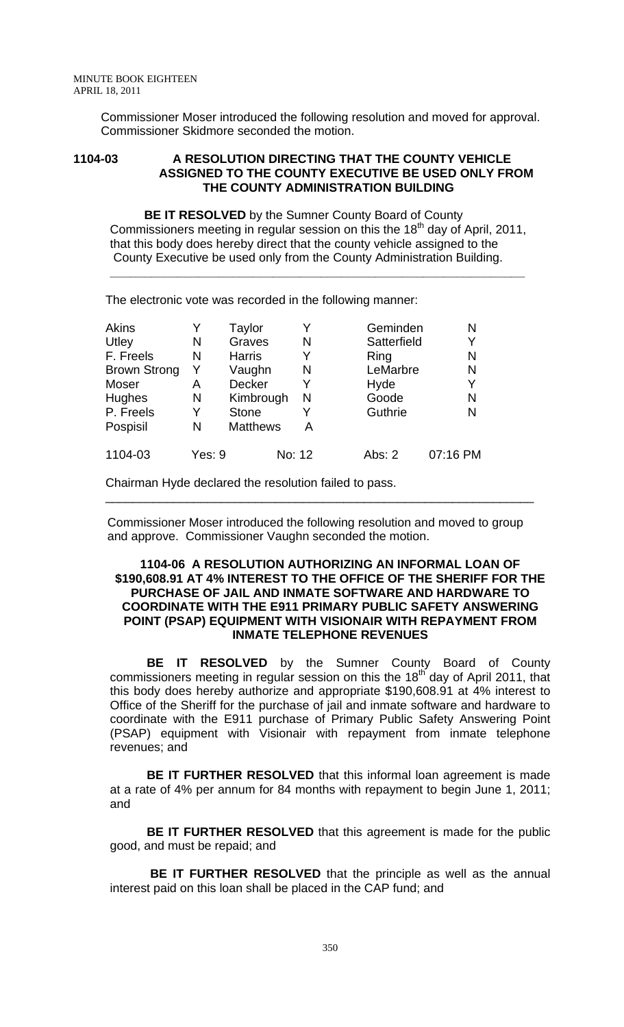Commissioner Moser introduced the following resolution and moved for approval. Commissioner Skidmore seconded the motion.

#### **1104-03 A RESOLUTION DIRECTING THAT THE COUNTY VEHICLE ASSIGNED TO THE COUNTY EXECUTIVE BE USED ONLY FROM THE COUNTY ADMINISTRATION BUILDING**

**BE IT RESOLVED** by the Sumner County Board of County Commissioners meeting in regular session on this the 18<sup>th</sup> day of April, 2011, that this body does hereby direct that the county vehicle assigned to the County Executive be used only from the County Administration Building.

**\_\_\_\_\_\_\_\_\_\_\_\_\_\_\_\_\_\_\_\_\_\_\_\_\_\_\_\_\_\_\_\_\_\_\_\_\_\_\_\_\_\_\_\_\_\_\_\_\_\_\_\_\_\_\_\_\_\_\_\_\_**

The electronic vote was recorded in the following manner:

| Akins               |        | Taylor          |        | Geminden    | N        |
|---------------------|--------|-----------------|--------|-------------|----------|
| Utley               | N      | Graves          | N      | Satterfield | Y        |
| F. Freels           | N      | <b>Harris</b>   | Y      | Ring        | N        |
| <b>Brown Strong</b> | Y      | Vaughn          | N      | LeMarbre    | N        |
| Moser               | Α      | <b>Decker</b>   |        | Hyde        | Y        |
| Hughes              | N      | Kimbrough       | N      | Goode       | N        |
| P. Freels           | Y      | <b>Stone</b>    |        | Guthrie     | N        |
| Pospisil            | N      | <b>Matthews</b> | А      |             |          |
| 1104-03             | Yes: 9 |                 | No: 12 | Abs: 2      | 07:16 PM |

Chairman Hyde declared the resolution failed to pass.

 Commissioner Moser introduced the following resolution and moved to group and approve. Commissioner Vaughn seconded the motion.

\_\_\_\_\_\_\_\_\_\_\_\_\_\_\_\_\_\_\_\_\_\_\_\_\_\_\_\_\_\_\_\_\_\_\_\_\_\_\_\_\_\_\_\_\_\_\_\_\_\_\_\_\_\_\_\_\_\_\_\_\_\_\_

#### **1104-06 A RESOLUTION AUTHORIZING AN INFORMAL LOAN OF \$190,608.91 AT 4% INTEREST TO THE OFFICE OF THE SHERIFF FOR THE PURCHASE OF JAIL AND INMATE SOFTWARE AND HARDWARE TO COORDINATE WITH THE E911 PRIMARY PUBLIC SAFETY ANSWERING POINT (PSAP) EQUIPMENT WITH VISIONAIR WITH REPAYMENT FROM INMATE TELEPHONE REVENUES**

**BE IT RESOLVED** by the Sumner County Board of County commissioners meeting in regular session on this the  $18<sup>th</sup>$  day of April 2011, that this body does hereby authorize and appropriate \$190,608.91 at 4% interest to Office of the Sheriff for the purchase of jail and inmate software and hardware to coordinate with the E911 purchase of Primary Public Safety Answering Point (PSAP) equipment with Visionair with repayment from inmate telephone revenues; and

**BE IT FURTHER RESOLVED** that this informal loan agreement is made at a rate of 4% per annum for 84 months with repayment to begin June 1, 2011; and

**BE IT FURTHER RESOLVED** that this agreement is made for the public good, and must be repaid; and

**BE IT FURTHER RESOLVED** that the principle as well as the annual interest paid on this loan shall be placed in the CAP fund; and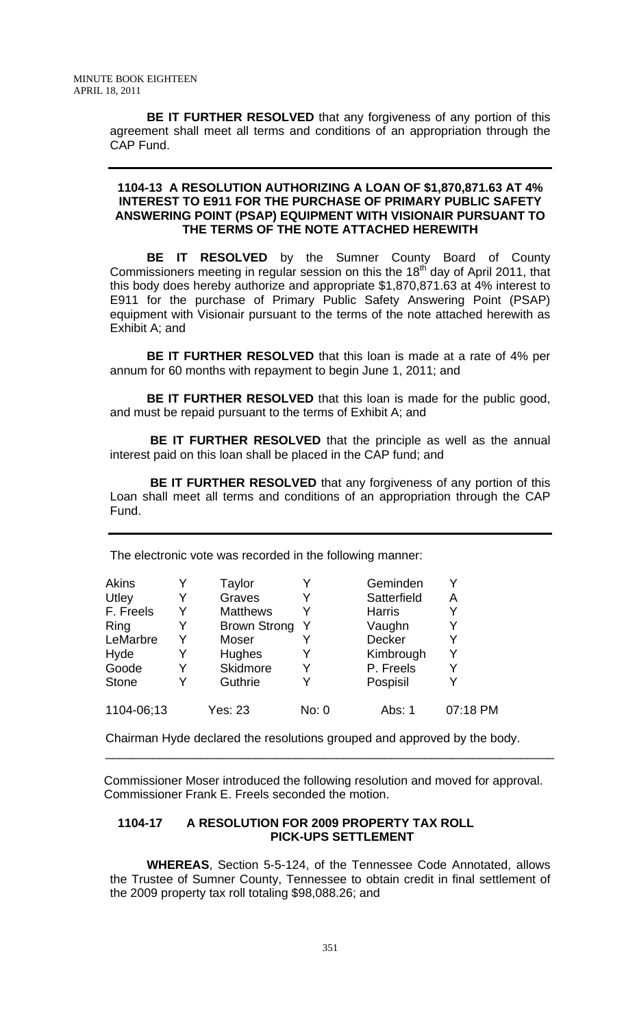**BE IT FURTHER RESOLVED** that any forgiveness of any portion of this agreement shall meet all terms and conditions of an appropriation through the CAP Fund.

## **1104-13 A RESOLUTION AUTHORIZING A LOAN OF \$1,870,871.63 AT 4% INTEREST TO E911 FOR THE PURCHASE OF PRIMARY PUBLIC SAFETY ANSWERING POINT (PSAP) EQUIPMENT WITH VISIONAIR PURSUANT TO THE TERMS OF THE NOTE ATTACHED HEREWITH**

**BE IT RESOLVED** by the Sumner County Board of County Commissioners meeting in regular session on this the 18<sup>th</sup> day of April 2011, that this body does hereby authorize and appropriate \$1,870,871.63 at 4% interest to E911 for the purchase of Primary Public Safety Answering Point (PSAP) equipment with Visionair pursuant to the terms of the note attached herewith as Exhibit A; and

**BE IT FURTHER RESOLVED** that this loan is made at a rate of 4% per annum for 60 months with repayment to begin June 1, 2011; and

**BE IT FURTHER RESOLVED** that this loan is made for the public good, and must be repaid pursuant to the terms of Exhibit A; and

**BE IT FURTHER RESOLVED** that the principle as well as the annual interest paid on this loan shall be placed in the CAP fund; and

 **BE IT FURTHER RESOLVED** that any forgiveness of any portion of this Loan shall meet all terms and conditions of an appropriation through the CAP Fund.

| <b>Akins</b> | Y | Taylor              |       | Geminden      |          |
|--------------|---|---------------------|-------|---------------|----------|
| Utley        | Y | Graves              |       | Satterfield   | Α        |
| F. Freels    | Y | <b>Matthews</b>     |       | <b>Harris</b> |          |
| Ring         | Y | <b>Brown Strong</b> | - Y   | Vaughn        |          |
| LeMarbre     | Y | Moser               |       | Decker        |          |
| Hyde         | Y | Hughes              |       | Kimbrough     |          |
| Goode        | Y | Skidmore            |       | P. Freels     |          |
| <b>Stone</b> |   | Guthrie             |       | Pospisil      |          |
| 1104-06;13   |   | Yes: 23             | No: 0 | Abs: 1        | 07:18 PM |

The electronic vote was recorded in the following manner:

Chairman Hyde declared the resolutions grouped and approved by the body.

 Commissioner Moser introduced the following resolution and moved for approval. Commissioner Frank E. Freels seconded the motion.

\_\_\_\_\_\_\_\_\_\_\_\_\_\_\_\_\_\_\_\_\_\_\_\_\_\_\_\_\_\_\_\_\_\_\_\_\_\_\_\_\_\_\_\_\_\_\_\_\_\_\_\_\_\_\_\_\_\_\_\_\_\_\_\_\_\_

## **1104-17 A RESOLUTION FOR 2009 PROPERTY TAX ROLL PICK-UPS SETTLEMENT**

**WHEREAS**, Section 5-5-124, of the Tennessee Code Annotated, allows the Trustee of Sumner County, Tennessee to obtain credit in final settlement of the 2009 property tax roll totaling \$98,088.26; and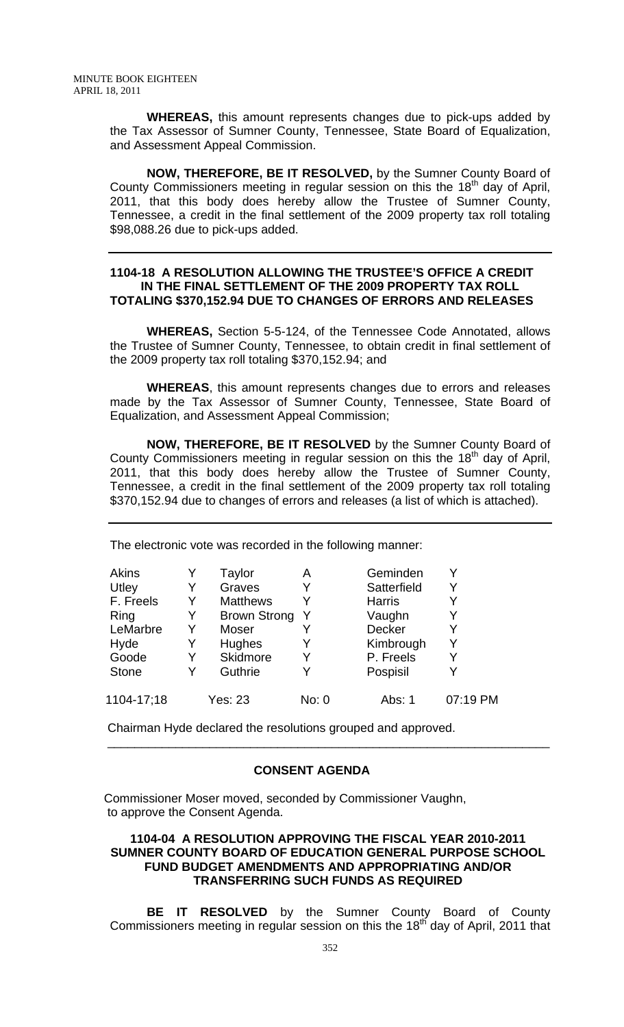**WHEREAS,** this amount represents changes due to pick-ups added by the Tax Assessor of Sumner County, Tennessee, State Board of Equalization, and Assessment Appeal Commission.

**NOW, THEREFORE, BE IT RESOLVED,** by the Sumner County Board of County Commissioners meeting in regular session on this the 18<sup>th</sup> day of April, 2011, that this body does hereby allow the Trustee of Sumner County, Tennessee, a credit in the final settlement of the 2009 property tax roll totaling \$98,088.26 due to pick-ups added.

## **1104-18 A RESOLUTION ALLOWING THE TRUSTEE'S OFFICE A CREDIT IN THE FINAL SETTLEMENT OF THE 2009 PROPERTY TAX ROLL TOTALING \$370,152.94 DUE TO CHANGES OF ERRORS AND RELEASES**

**WHEREAS,** Section 5-5-124, of the Tennessee Code Annotated, allows the Trustee of Sumner County, Tennessee, to obtain credit in final settlement of the 2009 property tax roll totaling \$370,152.94; and

**WHEREAS**, this amount represents changes due to errors and releases made by the Tax Assessor of Sumner County, Tennessee, State Board of Equalization, and Assessment Appeal Commission;

**NOW, THEREFORE, BE IT RESOLVED** by the Sumner County Board of County Commissioners meeting in regular session on this the  $18<sup>th</sup>$  day of April, 2011, that this body does hereby allow the Trustee of Sumner County, Tennessee, a credit in the final settlement of the 2009 property tax roll totaling \$370,152.94 due to changes of errors and releases (a list of which is attached).

The electronic vote was recorded in the following manner:

| Akins        |   | Taylor              | Α     | Geminden      |          |
|--------------|---|---------------------|-------|---------------|----------|
| Utley        | Y | Graves              | Y     | Satterfield   | Y        |
| F. Freels    | Y | <b>Matthews</b>     |       | <b>Harris</b> |          |
| Ring         | Y | <b>Brown Strong</b> | Y     | Vaughn        | Y        |
| LeMarbre     | Y | Moser               |       | Decker        | Y        |
| Hyde         | Y | Hughes              | Y     | Kimbrough     | Y        |
| Goode        | Y | Skidmore            | Y     | P. Freels     | Y        |
| <b>Stone</b> | Y | Guthrie             | Y     | Pospisil      | Y        |
| 1104-17;18   |   | <b>Yes: 23</b>      | No: 0 | Abs: 1        | 07:19 PM |

Chairman Hyde declared the resolutions grouped and approved.

## **CONSENT AGENDA**

 $\frac{1}{\sqrt{1-\frac{1}{2}-\frac{1}{2}-\frac{1}{2}-\frac{1}{2}-\frac{1}{2}-\frac{1}{2}-\frac{1}{2}-\frac{1}{2}-\frac{1}{2}-\frac{1}{2}-\frac{1}{2}-\frac{1}{2}-\frac{1}{2}-\frac{1}{2}-\frac{1}{2}-\frac{1}{2}-\frac{1}{2}-\frac{1}{2}-\frac{1}{2}-\frac{1}{2}-\frac{1}{2}-\frac{1}{2}-\frac{1}{2}-\frac{1}{2}-\frac{1}{2}-\frac{1}{2}-\frac{1}{2}-\frac{1}{2}-\frac{1}{2}-\frac{1}{2}-\$ 

Commissioner Moser moved, seconded by Commissioner Vaughn, to approve the Consent Agenda.

## **1104-04 A RESOLUTION APPROVING THE FISCAL YEAR 2010-2011 SUMNER COUNTY BOARD OF EDUCATION GENERAL PURPOSE SCHOOL FUND BUDGET AMENDMENTS AND APPROPRIATING AND/OR TRANSFERRING SUCH FUNDS AS REQUIRED**

**BE IT RESOLVED** by the Sumner County Board of County Commissioners meeting in regular session on this the 18<sup>th</sup> day of April, 2011 that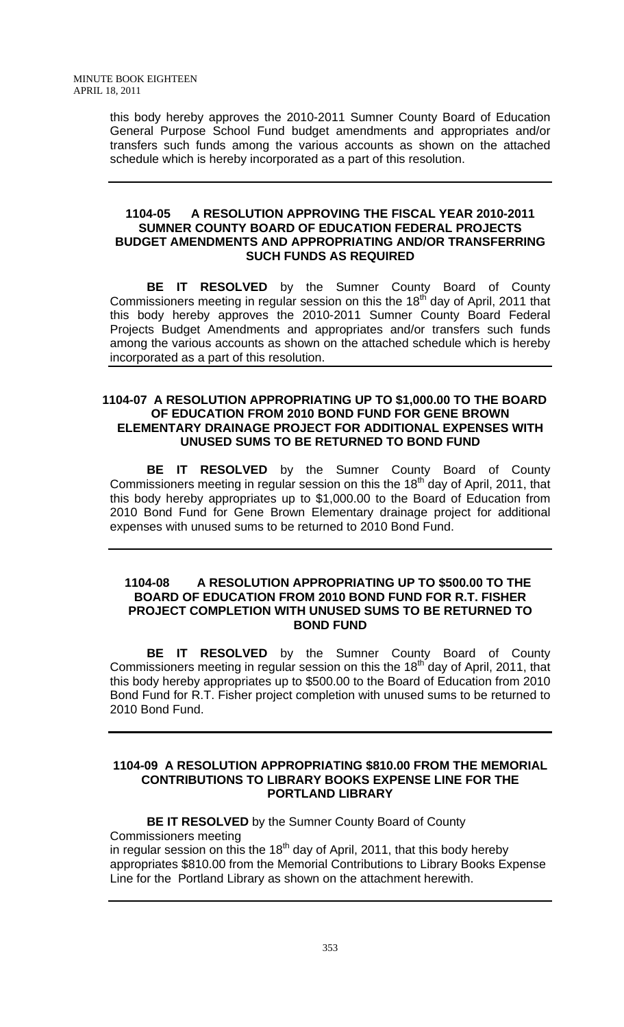this body hereby approves the 2010-2011 Sumner County Board of Education General Purpose School Fund budget amendments and appropriates and/or transfers such funds among the various accounts as shown on the attached schedule which is hereby incorporated as a part of this resolution.

## **1104-05 A RESOLUTION APPROVING THE FISCAL YEAR 2010-2011 SUMNER COUNTY BOARD OF EDUCATION FEDERAL PROJECTS BUDGET AMENDMENTS AND APPROPRIATING AND/OR TRANSFERRING SUCH FUNDS AS REQUIRED**

**BE IT RESOLVED** by the Sumner County Board of County Commissioners meeting in regular session on this the 18<sup>th</sup> day of April, 2011 that this body hereby approves the 2010-2011 Sumner County Board Federal Projects Budget Amendments and appropriates and/or transfers such funds among the various accounts as shown on the attached schedule which is hereby incorporated as a part of this resolution.

## **1104-07 A RESOLUTION APPROPRIATING UP TO \$1,000.00 TO THE BOARD OF EDUCATION FROM 2010 BOND FUND FOR GENE BROWN ELEMENTARY DRAINAGE PROJECT FOR ADDITIONAL EXPENSES WITH UNUSED SUMS TO BE RETURNED TO BOND FUND**

**BE IT RESOLVED** by the Sumner County Board of County Commissioners meeting in regular session on this the 18<sup>th</sup> day of April, 2011, that this body hereby appropriates up to \$1,000.00 to the Board of Education from 2010 Bond Fund for Gene Brown Elementary drainage project for additional expenses with unused sums to be returned to 2010 Bond Fund.

## **1104-08 A RESOLUTION APPROPRIATING UP TO \$500.00 TO THE BOARD OF EDUCATION FROM 2010 BOND FUND FOR R.T. FISHER PROJECT COMPLETION WITH UNUSED SUMS TO BE RETURNED TO BOND FUND**

**BE IT RESOLVED** by the Sumner County Board of County Commissioners meeting in regular session on this the 18<sup>th</sup> day of April, 2011, that this body hereby appropriates up to \$500.00 to the Board of Education from 2010 Bond Fund for R.T. Fisher project completion with unused sums to be returned to 2010 Bond Fund.

## **1104-09 A RESOLUTION APPROPRIATING \$810.00 FROM THE MEMORIAL CONTRIBUTIONS TO LIBRARY BOOKS EXPENSE LINE FOR THE PORTLAND LIBRARY**

**BE IT RESOLVED** by the Sumner County Board of County Commissioners meeting in regular session on this the  $18<sup>th</sup>$  day of April, 2011, that this body hereby appropriates \$810.00 from the Memorial Contributions to Library Books Expense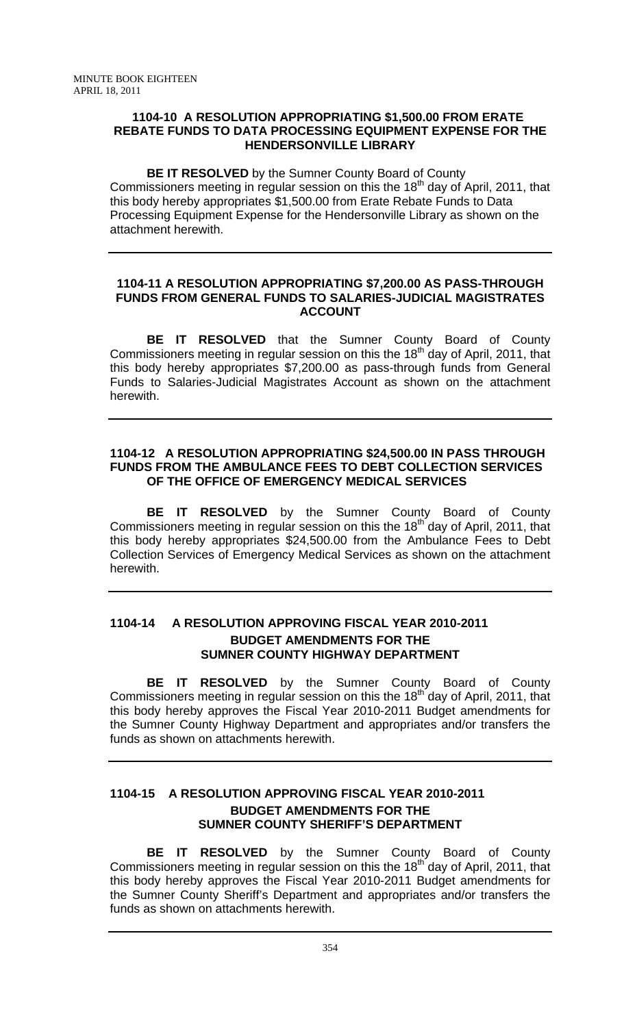## **1104-10 A RESOLUTION APPROPRIATING \$1,500.00 FROM ERATE REBATE FUNDS TO DATA PROCESSING EQUIPMENT EXPENSE FOR THE HENDERSONVILLE LIBRARY**

**BE IT RESOLVED** by the Sumner County Board of County Commissioners meeting in regular session on this the 18<sup>th</sup> day of April, 2011, that this body hereby appropriates \$1,500.00 from Erate Rebate Funds to Data Processing Equipment Expense for the Hendersonville Library as shown on the attachment herewith.

## **1104-11 A RESOLUTION APPROPRIATING \$7,200.00 AS PASS-THROUGH FUNDS FROM GENERAL FUNDS TO SALARIES-JUDICIAL MAGISTRATES ACCOUNT**

**BE IT RESOLVED** that the Sumner County Board of County Commissioners meeting in regular session on this the 18<sup>th</sup> day of April, 2011, that this body hereby appropriates \$7,200.00 as pass-through funds from General Funds to Salaries-Judicial Magistrates Account as shown on the attachment herewith.

## **1104-12 A RESOLUTION APPROPRIATING \$24,500.00 IN PASS THROUGH FUNDS FROM THE AMBULANCE FEES TO DEBT COLLECTION SERVICES OF THE OFFICE OF EMERGENCY MEDICAL SERVICES**

**BE IT RESOLVED** by the Sumner County Board of County Commissioners meeting in regular session on this the 18<sup>th day</sup> of April, 2011, that this body hereby appropriates \$24,500.00 from the Ambulance Fees to Debt Collection Services of Emergency Medical Services as shown on the attachment herewith.

## **1104-14 A RESOLUTION APPROVING FISCAL YEAR 2010-2011 BUDGET AMENDMENTS FOR THE SUMNER COUNTY HIGHWAY DEPARTMENT**

**BE IT RESOLVED** by the Sumner County Board of County Commissioners meeting in regular session on this the 18<sup>th</sup> day of April, 2011, that this body hereby approves the Fiscal Year 2010-2011 Budget amendments for the Sumner County Highway Department and appropriates and/or transfers the funds as shown on attachments herewith.

## **1104-15 A RESOLUTION APPROVING FISCAL YEAR 2010-2011 BUDGET AMENDMENTS FOR THE SUMNER COUNTY SHERIFF'S DEPARTMENT**

**BE IT RESOLVED** by the Sumner County Board of County Commissioners meeting in regular session on this the 18<sup>th</sup> day of April, 2011, that this body hereby approves the Fiscal Year 2010-2011 Budget amendments for the Sumner County Sheriff's Department and appropriates and/or transfers the funds as shown on attachments herewith.